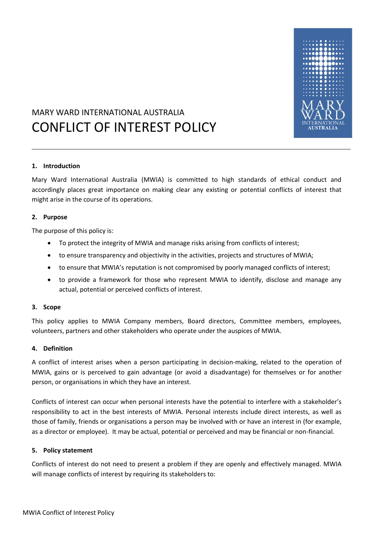

## MARY WARD INTERNATIONAL AUSTRALIA CONFLICT OF INTEREST POLICY

#### **1. Introduction**

Mary Ward International Australia (MWIA) is committed to high standards of ethical conduct and accordingly places great importance on making clear any existing or potential conflicts of interest that might arise in the course of its operations.

#### **2. Purpose**

The purpose of this policy is:

- To protect the integrity of MWIA and manage risks arising from conflicts of interest;
- to ensure transparency and objectivity in the activities, projects and structures of MWIA;
- to ensure that MWIA's reputation is not compromised by poorly managed conflicts of interest;
- to provide a framework for those who represent MWIA to identify, disclose and manage any actual, potential or perceived conflicts of interest.

#### **3. Scope**

This policy applies to MWIA Company members, Board directors, Committee members, employees, volunteers, partners and other stakeholders who operate under the auspices of MWIA.

#### **4. Definition**

A conflict of interest arises when a person participating in decision-making, related to the operation of MWIA, gains or is perceived to gain advantage (or avoid a disadvantage) for themselves or for another person, or organisations in which they have an interest.

Conflicts of interest can occur when personal interests have the potential to interfere with a stakeholder's responsibility to act in the best interests of MWIA. Personal interests include direct interests, as well as those of family, friends or organisations a person may be involved with or have an interest in (for example, as a director or employee). It may be actual, potential or perceived and may be financial or non-financial.

#### **5. Policy statement**

Conflicts of interest do not need to present a problem if they are openly and effectively managed. MWIA will manage conflicts of interest by requiring its stakeholders to: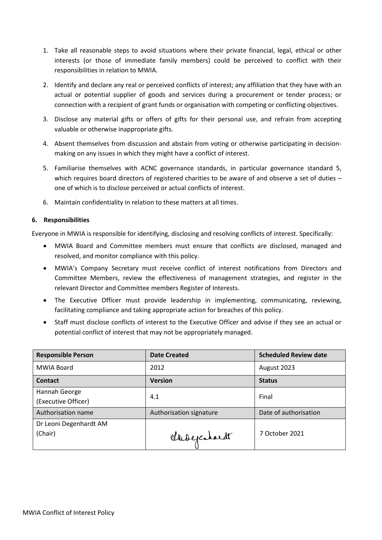- 1. Take all reasonable steps to avoid situations where their private financial, legal, ethical or other interests (or those of immediate family members) could be perceived to conflict with their responsibilities in relation to MWIA.
- 2. Identify and declare any real or perceived conflicts of interest; any affiliation that they have with an actual or potential supplier of goods and services during a procurement or tender process; or connection with a recipient of grant funds or organisation with competing or conflicting objectives.
- 3. Disclose any material gifts or offers of gifts for their personal use, and refrain from accepting valuable or otherwise inappropriate gifts.
- 4. Absent themselves from discussion and abstain from voting or otherwise participating in decisionmaking on any issues in which they might have a conflict of interest.
- 5. Familiarise themselves with ACNC governance standards, in particular governance standard 5, which requires board directors of registered charities to be aware of and observe a set of duties – one of which is to disclose perceived or actual conflicts of interest.
- 6. Maintain confidentiality in relation to these matters at all times.

#### **6. Responsibilities**

Everyone in MWIA is responsible for identifying, disclosing and resolving conflicts of interest. Specifically:

- MWIA Board and Committee members must ensure that conflicts are disclosed, managed and resolved, and monitor compliance with this policy.
- MWIA's Company Secretary must receive conflict of interest notifications from Directors and Committee Members, review the effectiveness of management strategies, and register in the relevant Director and Committee members Register of Interests.
- The Executive Officer must provide leadership in implementing, communicating, reviewing, facilitating compliance and taking appropriate action for breaches of this policy.
- Staff must disclose conflicts of interest to the Executive Officer and advise if they see an actual or potential conflict of interest that may not be appropriately managed.

| <b>Responsible Person</b>            | <b>Date Created</b>     | <b>Scheduled Review date</b> |
|--------------------------------------|-------------------------|------------------------------|
| MWIA Board                           | 2012                    | August 2023                  |
| <b>Contact</b>                       | <b>Version</b>          | <b>Status</b>                |
| Hannah George<br>(Executive Officer) | 4.1                     | Final                        |
| Authorisation name                   | Authorisation signature | Date of authorisation        |
| Dr Leoni Degenhardt AM<br>(Chair)    | Shedepenhardt           | 7 October 2021               |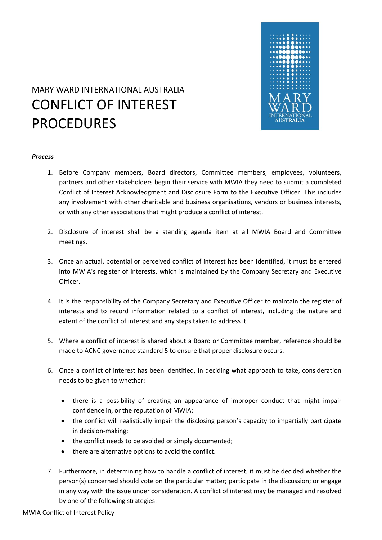

# MARY WARD INTERNATIONAL AUSTRALIA CONFLICT OF INTEREST PROCEDURES

#### *Process*

- 1. Before Company members, Board directors, Committee members, employees, volunteers, partners and other stakeholders begin their service with MWIA they need to submit a completed Conflict of Interest Acknowledgment and Disclosure Form to the Executive Officer. This includes any involvement with other charitable and business organisations, vendors or business interests, or with any other associations that might produce a conflict of interest.
- 2. Disclosure of interest shall be a standing agenda item at all MWIA Board and Committee meetings.
- 3. Once an actual, potential or perceived conflict of interest has been identified, it must be entered into MWIA's register of interests, which is maintained by the Company Secretary and Executive Officer.
- 4. It is the responsibility of the Company Secretary and Executive Officer to maintain the register of interests and to record information related to a conflict of interest, including the nature and extent of the conflict of interest and any steps taken to address it.
- 5. Where a conflict of interest is shared about a Board or Committee member, reference should be made to ACNC governance standard 5 to ensure that proper disclosure occurs.
- 6. Once a conflict of interest has been identified, in deciding what approach to take, consideration needs to be given to whether:
	- there is a possibility of creating an appearance of improper conduct that might impair confidence in, or the reputation of MWIA;
	- the conflict will realistically impair the disclosing person's capacity to impartially participate in decision-making;
	- the conflict needs to be avoided or simply documented;
	- there are alternative options to avoid the conflict.
- 7. Furthermore, in determining how to handle a conflict of interest, it must be decided whether the person(s) concerned should vote on the particular matter; participate in the discussion; or engage in any way with the issue under consideration. A conflict of interest may be managed and resolved by one of the following strategies: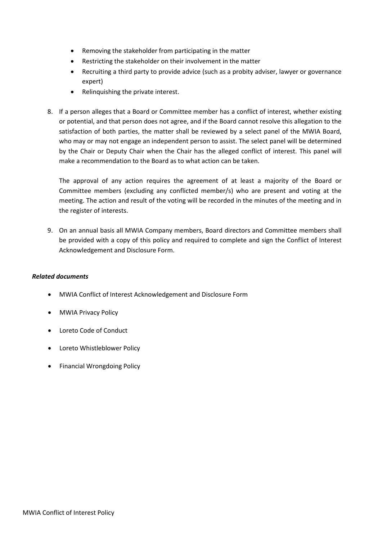- Removing the stakeholder from participating in the matter
- Restricting the stakeholder on their involvement in the matter
- Recruiting a third party to provide advice (such as a probity adviser, lawyer or governance expert)
- Relinquishing the private interest.
- 8. If a person alleges that a Board or Committee member has a conflict of interest, whether existing or potential, and that person does not agree, and if the Board cannot resolve this allegation to the satisfaction of both parties, the matter shall be reviewed by a select panel of the MWIA Board, who may or may not engage an independent person to assist. The select panel will be determined by the Chair or Deputy Chair when the Chair has the alleged conflict of interest. This panel will make a recommendation to the Board as to what action can be taken.

The approval of any action requires the agreement of at least a majority of the Board or Committee members (excluding any conflicted member/s) who are present and voting at the meeting. The action and result of the voting will be recorded in the minutes of the meeting and in the register of interests.

9. On an annual basis all MWIA Company members, Board directors and Committee members shall be provided with a copy of this policy and required to complete and sign the Conflict of Interest Acknowledgement and Disclosure Form.

#### *Related documents*

- MWIA Conflict of Interest Acknowledgement and Disclosure Form
- MWIA Privacy Policy
- Loreto Code of Conduct
- Loreto Whistleblower Policy
- Financial Wrongdoing Policy